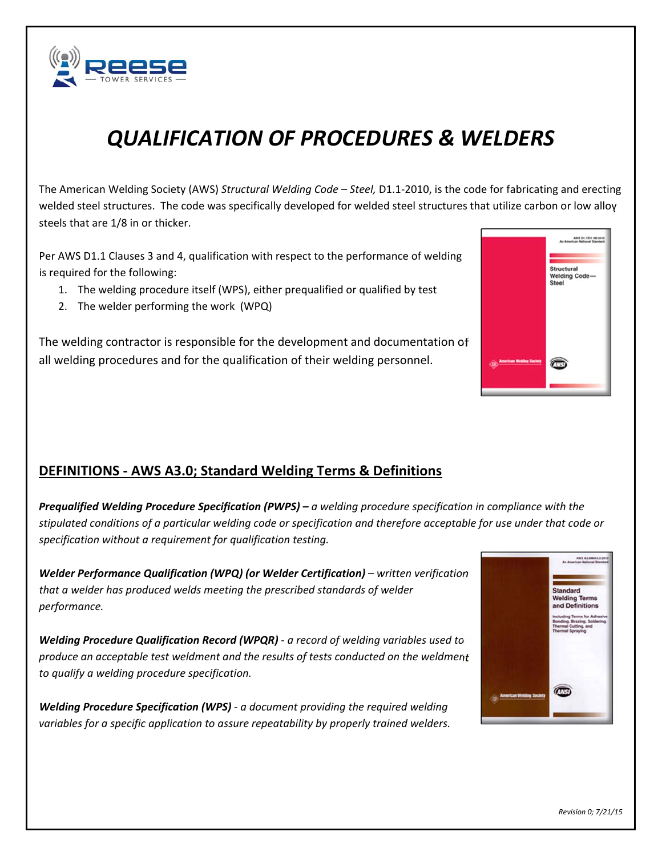

# *QUALIFICATION OF PROCEDURES & WELDERS*

The American Welding Society (AWS) *Structural Welding Code – Steel,* D1.1‐2010, is the code for fabricating and erecting welded steel structures. The code was specifically developed for welded steel structures that utilize carbon or low alloy steels that are 1/8 in or thicker.

Per AWS D1.1 Clauses 3 and 4, qualification with respect to the performance of welding is required for the following:

- 1. The welding procedure itself (WPS), either prequalified or qualified by test
- 2. The welder performing the work (WPQ)

The welding contractor is responsible for the development and documentation of all welding procedures and for the qualification of their welding personnel.

# **DEFINITIONS ‐ AWS A3.0; Standard Welding Terms & Definitions**

*Prequalified Welding Procedure Specification (PWPS) – a welding procedure specification in compliance with the* stipulated conditions of a particular welding code or specification and therefore acceptable for use under that code or *specification without a requirement for qualification testing.*

*Welder Performance Qualification (WPQ) (or Welder Certification) – written verification that a welder has produced welds meeting the prescribed standards of welder performance.*

*Welding Procedure Qualification Record (WPQR) ‐ a record of welding variables used to produce an acceptable test weldment and the results of tests conducted on the weldment to qualify a welding procedure specification.*

*Welding Procedure Specification (WPS)* ‐ *a document providing the required welding variables for a specific application to assure repeatability by properly trained welders.*



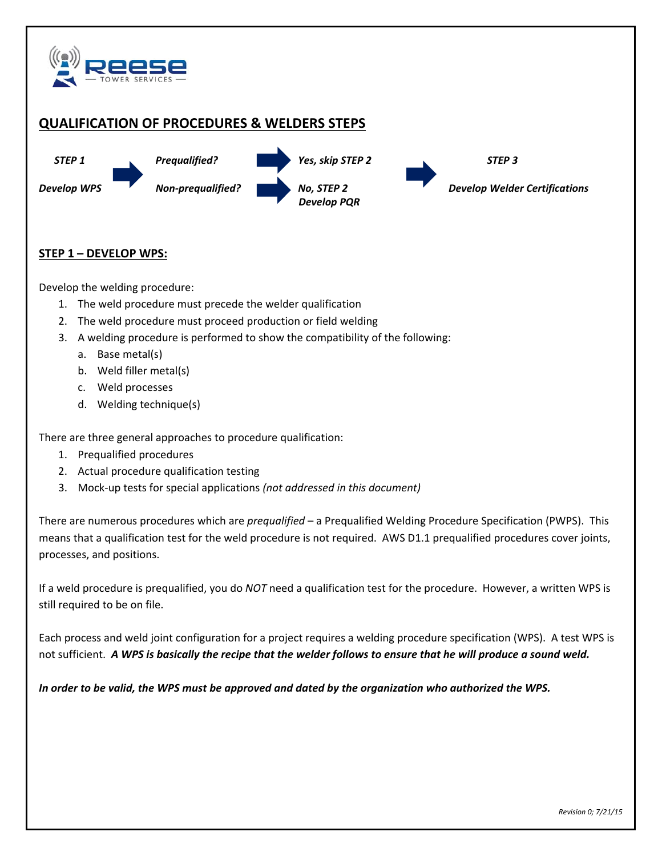

# **QUALIFICATION OF PROCEDURES & WELDERS STEPS**



## **STEP 1 – DEVELOP WPS:**

Develop the welding procedure:

- 1. The weld procedure must precede the welder qualification
- 2. The weld procedure must proceed production or field welding
- 3. A welding procedure is performed to show the compatibility of the following:
	- a. Base metal(s)
	- b. Weld filler metal(s)
	- c. Weld processes
	- d. Welding technique(s)

There are three general approaches to procedure qualification:

- 1. Prequalified procedures
- 2. Actual procedure qualification testing
- 3. Mock‐up tests for special applications *(not addressed in this document)*

There are numerous procedures which are *prequalified* – a Prequalified Welding Procedure Specification (PWPS). This means that a qualification test for the weld procedure is not required. AWS D1.1 prequalified procedures cover joints, processes, and positions.

If a weld procedure is prequalified, you do *NOT* need a qualification test for the procedure. However, a written WPS is still required to be on file.

Each process and weld joint configuration for a project requires a welding procedure specification (WPS). A test WPS is not sufficient. A WPS is basically the recipe that the welder follows to ensure that he will produce a sound weld.

In order to be valid, the WPS must be approved and dated by the organization who authorized the WPS.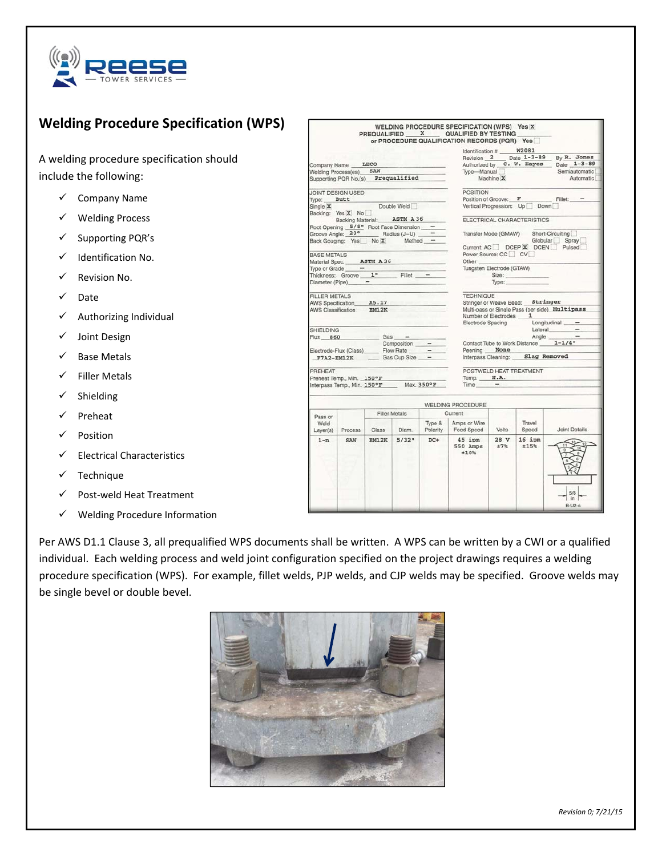

# **Welding Procedure Specification (WPS)**

A welding procedure specification should include the following:

- $\checkmark$  Company Name
- Welding Process
- $\checkmark$  Supporting PQR's
- $\checkmark$  Identification No.
- $\checkmark$  Revision No.
- $\checkmark$  Date
- $\checkmark$  Authorizing Individual
- $\checkmark$  Joint Design
- $\checkmark$  Base Metals
- $\checkmark$  Filler Metals
- $\checkmark$  Shielding
- $\checkmark$  Preheat
- $\checkmark$  Position
- $\checkmark$  Electrical Characteristics
- $\checkmark$  Technique
- Post‐weld Heat Treatment
- $\checkmark$  Welding Procedure Information

|                                                                                |         |         | PREQUALIFIED X                                 |                    | WELDING PROCEDURE SPECIFICATION (WPS) Yes X<br><b>QUALIFIED BY TESTING</b><br>or PROCEDURE QUALIFICATION RECORDS (PQR) Yes |             |                                                     |                                                  |
|--------------------------------------------------------------------------------|---------|---------|------------------------------------------------|--------------------|----------------------------------------------------------------------------------------------------------------------------|-------------|-----------------------------------------------------|--------------------------------------------------|
| Company Name LECO<br>Welding Process(es) SAW                                   |         |         |                                                |                    | Identification # W2081<br>Type-Manual                                                                                      |             | Revision 2 Date 1-3-89<br>Authorized by C. W. Hayes | By R. Jones<br>Date 1-3-89<br>Semiautomatic      |
| Supporting PQR No.(s) Prequalified                                             |         |         |                                                |                    |                                                                                                                            | Machine X   |                                                     | Automatic                                        |
| JOINT DESIGN USED<br>Type: Butt<br>Single X                                    |         |         | Double Weld                                    |                    | <b>POSITION</b>                                                                                                            |             | Vertical Progression: Up Down                       | Position of Groove: F Fillet: -                  |
| Backing: Yes X No                                                              |         |         | Backing Material: ASTM A 36                    |                    |                                                                                                                            |             | ELECTRICAL CHARACTERISTICS                          |                                                  |
| Root Opening 5/8" Root Face Dimension --<br>Back Gouging: Yes No X Method -    |         |         |                                                |                    |                                                                                                                            |             | Transfer Mode (GMAW) Short-Circuiting               | Globular Spray<br>Current: AC DCEP X DCEN Pulsed |
| <b>BASE METALS</b><br>Material Spec. ASTM A 36                                 |         |         |                                                |                    | Power Source: CC CV<br>Other                                                                                               |             |                                                     |                                                  |
| $Type or Grade -$<br>Thickness: Groove $1^n$ Fillet $-$<br>Diameter (Pipe) -   |         |         |                                                |                    | Tungsten Electrode (GTAW)<br>--                                                                                            |             | Size:<br>Type: Type:                                |                                                  |
| <b>FILLER METALS</b><br>AWS Specification A5.17<br>AWS Classification EM12K    |         |         |                                                |                    | <b>TECHNIQUE</b><br>Number of Electrodes 1                                                                                 |             | Stringer or Weave Bead: Stringer                    | Multi-pass or Single Pass (per side) Multipass   |
| SHIELDING                                                                      |         |         |                                                |                    | Electrode Spacing                                                                                                          |             |                                                     | Longitudinal -<br>Lateral<br>$-$                 |
| Flux 860                                                                       |         | $Gas -$ | Composition -                                  |                    |                                                                                                                            |             | Contact Tube to Work Distance ____ 1-1/4"           | Angle                                            |
| Electrode-Flux (Class)                                                         |         |         | Flow Rate -<br>$F7A2 - EM12K$ Gas Cup Size $-$ |                    | Peening None                                                                                                               |             | Interpass Cleaning: Slag Removed                    |                                                  |
| PREHEAT<br>Preheat Temp., Min. 150°F<br>Interpass Temp., Min. 150°F Max. 350°F |         |         |                                                |                    | $Time -$                                                                                                                   |             | POSTWELD HEAT TREATMENT<br>Temp. N.A.               |                                                  |
|                                                                                |         |         |                                                |                    | WELDING PROCEDURE                                                                                                          |             |                                                     |                                                  |
| Pass or                                                                        |         |         | <b>Filler Metals</b>                           |                    | Current                                                                                                                    |             |                                                     |                                                  |
| Weld<br>Layer(s)                                                               | Process | Class   | Diam.                                          | Type &<br>Polarity | Amps or Wire<br>Feed Speed                                                                                                 | Volts       | Travel<br>Speed                                     | Joint Details                                    |
| $1 - n$                                                                        | SAW     | EM12K   | 5/32"                                          | $DC+$              | $45$ ipm<br>550 Amps<br>±10%                                                                                               | 28 V<br>±7% | 16 ipm<br>±15%                                      |                                                  |
|                                                                                |         |         |                                                |                    |                                                                                                                            |             |                                                     | 5/R<br>in<br>$B-U2-s$                            |

Per AWS D1.1 Clause 3, all prequalified WPS documents shall be written. A WPS can be written by a CWI or a qualified individual. Each welding process and weld joint configuration specified on the project drawings requires a welding procedure specification (WPS). For example, fillet welds, PJP welds, and CJP welds may be specified. Groove welds may be single bevel or double bevel.

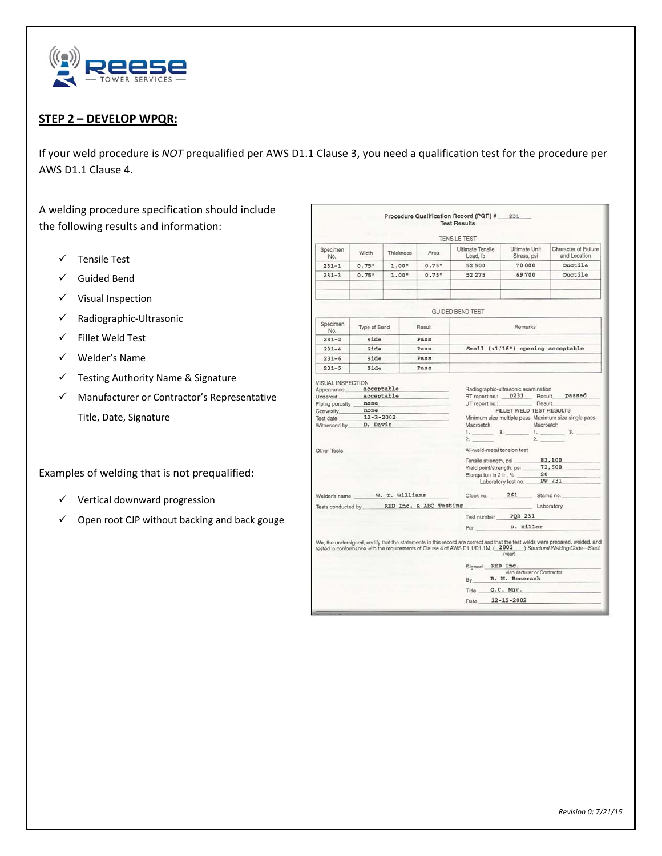

## **STEP 2 – DEVELOP WPQR:**

If your weld procedure is *NOT* prequalified per AWS D1.1 Clause 3, you need a qualification test for the procedure per AWS D1.1 Clause 4.

A welding procedure specification should include the following results and information:

- $\checkmark$  Tensile Test
- $\checkmark$  Guided Bend
- $\checkmark$  Visual Inspection
- Radiographic‐Ultrasonic
- $\checkmark$  Fillet Weld Test
- $\checkmark$  Welder's Name
- $\checkmark$  Testing Authority Name & Signature
- $\checkmark$  Manufacturer or Contractor's Representative Title, Date, Signature

Examples of welding that is not prequalified:

- $\checkmark$  Vertical downward progression
- $\checkmark$  Open root CJP without backing and back gouge

|                                           |             |                              |                                           | <b>TENSILE TEST</b>                          |                              |                                                                                                                                                                                                                                                    |  |  |
|-------------------------------------------|-------------|------------------------------|-------------------------------------------|----------------------------------------------|------------------------------|----------------------------------------------------------------------------------------------------------------------------------------------------------------------------------------------------------------------------------------------------|--|--|
| Specimen<br>No.                           | Width       | Thickness                    | Area                                      | Ultimate Tensile<br>Load, Ib                 | Ultimate Unit<br>Stress, psi | Character of Failure<br>and Location                                                                                                                                                                                                               |  |  |
| $231 - 1$                                 | 0.75"       | $1.00*$                      | 0.75"                                     | 52 500                                       | 70 000                       | Ductile                                                                                                                                                                                                                                            |  |  |
| $231 - 3$                                 | 0.75"       | 1.00"                        | 0.75"                                     | 52 275                                       | 69700                        | Ductile                                                                                                                                                                                                                                            |  |  |
|                                           |             |                              |                                           | <b>GUIDED BEND TEST</b>                      |                              |                                                                                                                                                                                                                                                    |  |  |
| Specimen<br>Type of Bend<br>Result<br>No. |             |                              |                                           | <b>Remarks</b>                               |                              |                                                                                                                                                                                                                                                    |  |  |
| $231 - 2$                                 | Side        |                              | Pass                                      |                                              |                              |                                                                                                                                                                                                                                                    |  |  |
| $231 - 4$                                 | <b>Side</b> |                              | Pass                                      | Small (<1/16") opening acceptable            |                              |                                                                                                                                                                                                                                                    |  |  |
| $231 - 6$                                 | side        |                              | Pagg                                      |                                              |                              |                                                                                                                                                                                                                                                    |  |  |
| $231 - 5$                                 | side        |                              | Pass                                      |                                              |                              |                                                                                                                                                                                                                                                    |  |  |
| Other Tests                               |             |                              |                                           | 2.<br>All-weld-metal tension test            | 2.                           | 1. $3.$ 1. $3.$                                                                                                                                                                                                                                    |  |  |
|                                           |             |                              |                                           | Tensile strength, psi                        |                              | 83,100                                                                                                                                                                                                                                             |  |  |
|                                           |             |                              |                                           | Yield point/strength, psi                    |                              | 72,600                                                                                                                                                                                                                                             |  |  |
|                                           |             |                              |                                           | Elongation in 2 in, %<br>Laboratory test no. |                              | 28<br>PW 231                                                                                                                                                                                                                                       |  |  |
|                                           |             |                              |                                           |                                              |                              |                                                                                                                                                                                                                                                    |  |  |
|                                           |             | Welder's name W. T. Williams |                                           |                                              | Clock no. 261 Stamp no.      |                                                                                                                                                                                                                                                    |  |  |
|                                           |             |                              | Tests conducted by RED Inc. & ABC Testing |                                              | Laboratory                   |                                                                                                                                                                                                                                                    |  |  |
|                                           |             |                              |                                           |                                              | Test number PQR 231          |                                                                                                                                                                                                                                                    |  |  |
|                                           |             |                              |                                           |                                              | Per D. Miller                |                                                                                                                                                                                                                                                    |  |  |
|                                           |             |                              |                                           |                                              |                              |                                                                                                                                                                                                                                                    |  |  |
|                                           |             |                              |                                           |                                              | (year)                       |                                                                                                                                                                                                                                                    |  |  |
|                                           |             |                              |                                           | Signed RED Inc.                              | Manufacturer or Contractor   |                                                                                                                                                                                                                                                    |  |  |
|                                           |             |                              |                                           |                                              | By R. M. Boncrack            |                                                                                                                                                                                                                                                    |  |  |
|                                           |             |                              |                                           | Title<br>Date 12-15-2002                     | Q.C. Mgr.                    | We, the undersigned, certify that the statements in this record are correct and that the test welds were prepared, welded, and<br>tested in conformance with the requirements of Clause 4 of AWS D1.1/D1.1M, (2002) Structural Welding Code-Steel. |  |  |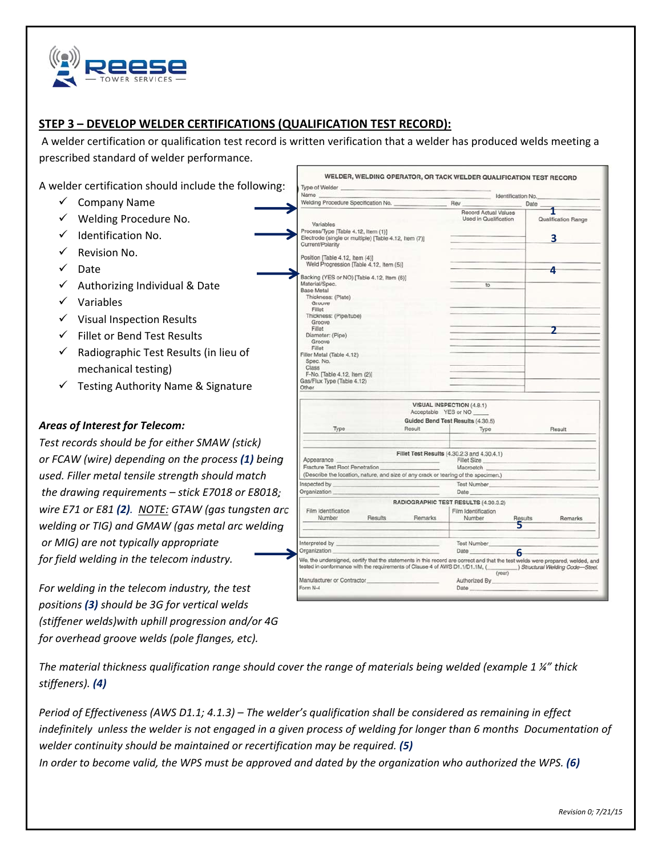

# **STEP 3 – DEVELOP WELDER CERTIFICATIONS (QUALIFICATION TEST RECORD):**

A welder certification or qualification test record is written verification that a welder has produced welds meeting a prescribed standard of welder performance.

#### A welder certification should include the following:

- $\checkmark$  Company Name
- $\checkmark$  Welding Procedure No.
- $\checkmark$  Identification No.
- $\checkmark$  Revision No.
- $\checkmark$  Date
- $\checkmark$  Authorizing Individual & Date
- $\checkmark$  Variables
- $\checkmark$  Visual Inspection Results
- $\checkmark$  Fillet or Bend Test Results
- $\checkmark$  Radiographic Test Results (in lieu of mechanical testing)
- $\checkmark$  Testing Authority Name & Signature

#### *Areas of Interest for Telecom:*

*Test records should be for either SMAW (stick) or FCAW (wire) depending on the process (1) being used. Filler metal tensile strength should match the drawing requirements – stick E7018 or E8018; wire E71 or E81 (2). NOTE: GTAW (gas tungsten arc welding or TIG) and GMAW (gas metal arc welding or MIG) are not typically appropriate for field welding in the telecom industry.*

*For welding in the telecom industry, the test positions (3) should be 3G for vertical welds (stiffener welds)with uphill progression and/or 4G for overhead groove welds (pole flanges, etc).*

| Name                                                                                                                                                                                                           |                                             |                                   | Identification No.    |                                |  |
|----------------------------------------------------------------------------------------------------------------------------------------------------------------------------------------------------------------|---------------------------------------------|-----------------------------------|-----------------------|--------------------------------|--|
| Welding Procedure Specification No.                                                                                                                                                                            | Rev                                         |                                   | Date                  |                                |  |
|                                                                                                                                                                                                                |                                             |                                   | Record Actual Values  | 1                              |  |
|                                                                                                                                                                                                                |                                             |                                   | Used in Qualification | Qualification Range            |  |
| Variables                                                                                                                                                                                                      |                                             |                                   |                       |                                |  |
| Process/Type [Table 4.12, Item (1)]                                                                                                                                                                            |                                             |                                   |                       |                                |  |
| Electrode (single or multiple) [Table 4.12, Item (7)]                                                                                                                                                          |                                             |                                   | 3                     |                                |  |
| Current/Polarity                                                                                                                                                                                               |                                             |                                   |                       |                                |  |
| Position [Table 4.12, Item (4)]                                                                                                                                                                                |                                             |                                   |                       |                                |  |
| Weld Progression [Table 4.12, Item (5)]                                                                                                                                                                        |                                             |                                   |                       |                                |  |
|                                                                                                                                                                                                                |                                             |                                   |                       | 4                              |  |
| Backing (YES or NO) [Table 4.12, Item (6)]                                                                                                                                                                     |                                             |                                   |                       |                                |  |
| Material/Spec.                                                                                                                                                                                                 |                                             | to                                |                       |                                |  |
| <b>Base Metal</b>                                                                                                                                                                                              |                                             |                                   |                       |                                |  |
| Thickness: (Plate)<br>Groove                                                                                                                                                                                   |                                             |                                   |                       |                                |  |
| Fillet                                                                                                                                                                                                         |                                             |                                   |                       |                                |  |
| Thickness: (Pipe/tube)                                                                                                                                                                                         |                                             |                                   |                       |                                |  |
| Groove                                                                                                                                                                                                         |                                             |                                   |                       |                                |  |
| Fillet                                                                                                                                                                                                         |                                             |                                   |                       |                                |  |
| Diameter: (Pipe)                                                                                                                                                                                               |                                             |                                   |                       |                                |  |
| Groove<br>Fillet                                                                                                                                                                                               |                                             |                                   |                       |                                |  |
| Filler Metal (Table 4.12)                                                                                                                                                                                      |                                             |                                   |                       |                                |  |
| Spec. No.                                                                                                                                                                                                      |                                             |                                   |                       |                                |  |
| <b>Class</b>                                                                                                                                                                                                   |                                             |                                   |                       |                                |  |
| F-No. [Table 4.12, Item (2)]                                                                                                                                                                                   |                                             |                                   |                       |                                |  |
| Gas/Flux Type (Table 4.12)                                                                                                                                                                                     |                                             |                                   |                       |                                |  |
| Other                                                                                                                                                                                                          |                                             |                                   |                       |                                |  |
|                                                                                                                                                                                                                |                                             |                                   |                       |                                |  |
|                                                                                                                                                                                                                |                                             | <b>VISUAL INSPECTION (4.8.1)</b>  |                       |                                |  |
|                                                                                                                                                                                                                |                                             | Acceptable YES or NO              |                       |                                |  |
|                                                                                                                                                                                                                |                                             | Guided Bend Test Results (4.30.5) |                       |                                |  |
| Type                                                                                                                                                                                                           | Result                                      |                                   | Type                  | Result                         |  |
|                                                                                                                                                                                                                |                                             |                                   |                       |                                |  |
|                                                                                                                                                                                                                |                                             |                                   |                       |                                |  |
|                                                                                                                                                                                                                | Fillet Test Results (4.30.2.3 and 4.30.4.1) |                                   |                       |                                |  |
| Appearance                                                                                                                                                                                                     |                                             |                                   | Fillet Size           |                                |  |
| Fracture Test Root Penetration                                                                                                                                                                                 |                                             | Macroetch                         |                       |                                |  |
| (Describe the location, nature, and size of any crack or tearing of the specimen.)                                                                                                                             |                                             |                                   |                       |                                |  |
| Inspected by                                                                                                                                                                                                   |                                             | <b>Test Number</b>                |                       |                                |  |
| Organization                                                                                                                                                                                                   |                                             | Date                              |                       |                                |  |
|                                                                                                                                                                                                                | RADIOGRAPHIC TEST RESULTS (4.30.3.2)        |                                   |                       |                                |  |
| Film Identification                                                                                                                                                                                            |                                             | Film Identification               |                       |                                |  |
| Number<br>Results                                                                                                                                                                                              | Remarks                                     | Number                            | Results               | Remarks                        |  |
|                                                                                                                                                                                                                |                                             |                                   | 5                     |                                |  |
|                                                                                                                                                                                                                |                                             |                                   |                       |                                |  |
| Interpreted by _                                                                                                                                                                                               |                                             | <b>Test Number</b>                |                       |                                |  |
| Organization                                                                                                                                                                                                   | Date                                        |                                   |                       |                                |  |
|                                                                                                                                                                                                                |                                             |                                   | 6                     |                                |  |
| We, the undersigned, certify that the statements in this record are correct and that the test welds were prepared, welded, and<br>tested in conformance with the requirements of Clause 4 of AWS D1.1/D1.1M, ( |                                             |                                   |                       | Structural Welding Code-Steel. |  |
|                                                                                                                                                                                                                |                                             |                                   | (year)                |                                |  |
|                                                                                                                                                                                                                | Authorized By                               |                                   |                       |                                |  |
| Manufacturer or Contractor                                                                                                                                                                                     |                                             |                                   |                       |                                |  |

The material thickness qualification range should cover the range of materials being welded (example 1 %" thick *stiffeners). (4)*

Period of Effectiveness (AWS D1.1; 4.1.3) - The welder's qualification shall be considered as remaining in effect indefinitely unless the welder is not engaged in a given process of welding for longer than 6 months Documentation of *welder continuity should be maintained or recertification may be required. (5)*  In order to become valid, the WPS must be approved and dated by the organization who authorized the WPS.  $(6)$ 

*Revision 0; 7/21/15*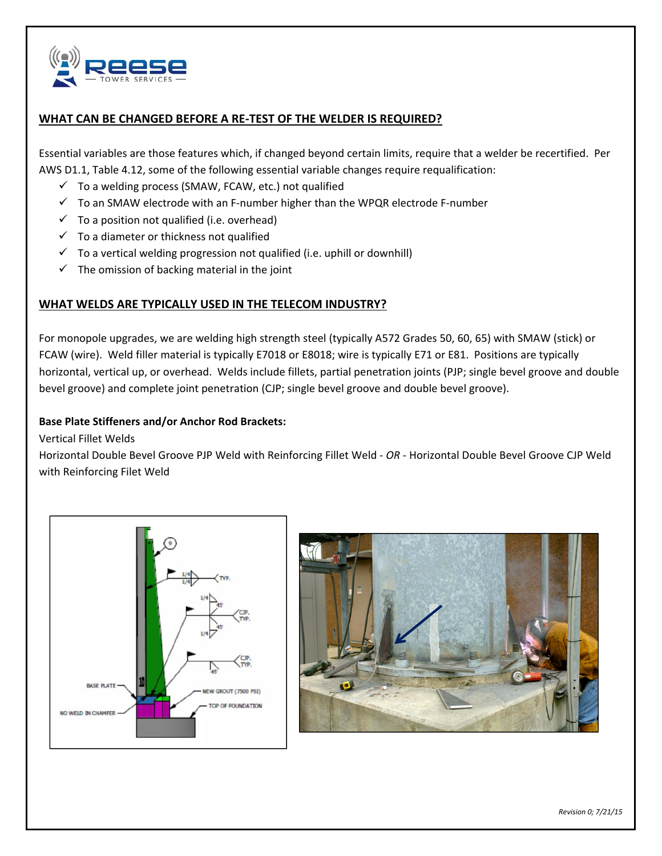

# **WHAT CAN BE CHANGED BEFORE A RE‐TEST OF THE WELDER IS REQUIRED?**

Essential variables are those features which, if changed beyond certain limits, require that a welder be recertified. Per AWS D1.1, Table 4.12, some of the following essential variable changes require requalification:

- $\checkmark$  To a welding process (SMAW, FCAW, etc.) not qualified
- $\checkmark$  To an SMAW electrode with an F-number higher than the WPQR electrode F-number
- $\checkmark$  To a position not qualified (i.e. overhead)
- $\checkmark$  To a diameter or thickness not qualified
- $\checkmark$  To a vertical welding progression not qualified (i.e. uphill or downhill)
- $\checkmark$  The omission of backing material in the joint

## **WHAT WELDS ARE TYPICALLY USED IN THE TELECOM INDUSTRY?**

For monopole upgrades, we are welding high strength steel (typically A572 Grades 50, 60, 65) with SMAW (stick) or FCAW (wire). Weld filler material is typically E7018 or E8018; wire is typically E71 or E81. Positions are typically horizontal, vertical up, or overhead. Welds include fillets, partial penetration joints (PJP; single bevel groove and double bevel groove) and complete joint penetration (CJP; single bevel groove and double bevel groove).

#### **Base Plate Stiffeners and/or Anchor Rod Brackets:**

Vertical Fillet Welds

Horizontal Double Bevel Groove PJP Weld with Reinforcing Fillet Weld ‐ *OR* ‐ Horizontal Double Bevel Groove CJP Weld with Reinforcing Filet Weld